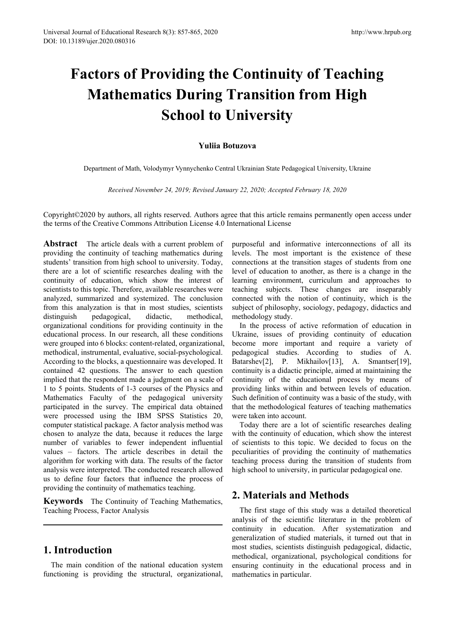# **Factors of Providing the Continuity of Teaching Mathematics During Transition from High School to University**

### **Yuliia Botuzova**

Department of Math, Volodymyr Vynnychenko Central Ukrainian State Pedagogical University, Ukraine

*Received November 24, 2019; Revised January 22, 2020; Accepted February 18, 2020*

Copyright©2020 by authors, all rights reserved. Authors agree that this article remains permanently open access under the terms of the Creative Commons Attribution License 4.0 International License

**Abstract** The article deals with a current problem of providing the continuity of teaching mathematics during students' transition from high school to university. Today, there are a lot of scientific researches dealing with the continuity of education, which show the interest of scientists to this topic. Therefore, available researches were analyzed, summarized and systemized. The conclusion from this analyzation is that in most studies, scientists distinguish pedagogical, didactic, methodical, organizational conditions for providing continuity in the educational process. In our research, all these conditions were grouped into 6 blocks: content-related, organizational, methodical, instrumental, evaluative, social-psychological. According to the blocks, a questionnaire was developed. It contained 42 questions. The answer to each question implied that the respondent made a judgment on a scale of 1 to 5 points. Students of 1-3 courses of the Physics and Mathematics Faculty of the pedagogical university participated in the survey. The empirical data obtained were processed using the IBM SPSS Statistics 20, computer statistical package. A factor analysis method was chosen to analyze the data, because it reduces the large number of variables to fewer independent influential values – factors. The article describes in detail the algorithm for working with data. The results of the factor analysis were interpreted. The conducted research allowed us to define four factors that influence the process of providing the continuity of mathematics teaching.

**Keywords** The Continuity of Teaching Mathematics, Teaching Process, Factor Analysis

## **1. Introduction**

The main condition of the national education system functioning is providing the structural, organizational,

purposeful and informative interconnections of all its levels. The most important is the existence of these connections at the transition stages of students from one level of education to another, as there is a change in the learning environment, curriculum and approaches to teaching subjects. These changes are inseparably connected with the notion of continuity, which is the subject of philosophy, sociology, pedagogy, didactics and methodology study.

In the process of active reformation of education in Ukraine, issues of providing continuity of education become more important and require a variety of pedagogical studies. According to studies of A. Batarshev<sup>[2]</sup>, P. Mikhailov<sup>[13]</sup>, A. Smantser<sup>[19]</sup>, continuity is a didactic principle, aimed at maintaining the continuity of the educational process by means of providing links within and between levels of education. Such definition of continuity was a basic of the study, with that the methodological features of teaching mathematics were taken into account.

Today there are a lot of scientific researches dealing with the continuity of education, which show the interest of scientists to this topic. We decided to focus on the peculiarities of providing the continuity of mathematics teaching process during the transition of students from high school to university, in particular pedagogical one.

## **2. Materials and Methods**

The first stage of this study was a detailed theoretical analysis of the scientific literature in the problem of continuity in education. After systematization and generalization of studied materials, it turned out that in most studies, scientists distinguish pedagogical, didactic, methodical, organizational, psychological conditions for ensuring continuity in the educational process and in mathematics in particular.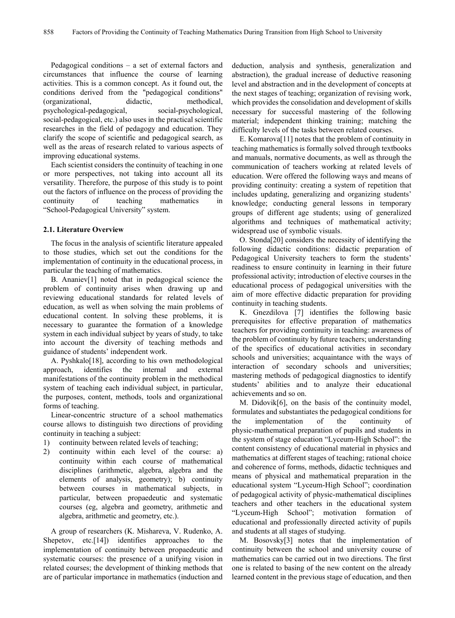Pedagogical conditions – a set of external factors and circumstances that influence the course of learning activities. This is a common concept. As it found out, the conditions derived from the "pedagogical conditions" (organizational, didactic, methodical, psychological-pedagogical, social-psychological, social-pedagogical, etc.) also uses in the practical scientific researches in the field of pedagogy and education. They clarify the scope of scientific and pedagogical search, as well as the areas of research related to various aspects of improving educational systems.

Each scientist considers the continuity of teaching in one or more perspectives, not taking into account all its versatility. Therefore, the purpose of this study is to point out the factors of influence on the process of providing the continuity of teaching mathematics in "School-Pedagogical University" system.

#### **2.1. Literature Overview**

The focus in the analysis of scientific literature appealed to those studies, which set out the conditions for the implementation of continuity in the educational process, in particular the teaching of mathematics.

B. Ananiev[1] noted that in pedagogical science the problem of continuity arises when drawing up and reviewing educational standards for related levels of education, as well as when solving the main problems of educational content. In solving these problems, it is necessary to guarantee the formation of a knowledge system in each individual subject by years of study, to take into account the diversity of teaching methods and guidance of students' independent work.

A. Pyshkalo[18], according to his own methodological approach, identifies the internal and external manifestations of the continuity problem in the methodical system of teaching each individual subject, in particular, the purposes, content, methods, tools and organizational forms of teaching.

Linear-concentric structure of a school mathematics course allows to distinguish two directions of providing continuity in teaching a subject:

- 1) continuity between related levels of teaching;
- 2) continuity within each level of the course: a) continuity within each course of mathematical disciplines (arithmetic, algebra, algebra and the elements of analysis, geometry); b) continuity between courses in mathematical subjects, in particular, between propaedeutic and systematic courses (eg, algebra and geometry, arithmetic and algebra, arithmetic and geometry, etc.).

A group of researchers (K. Mishareva, V. Rudenko, A. Shepetov, etc.<sup>[14]</sup>) identifies approaches to the implementation of continuity between propaedeutic and systematic courses: the presence of a unifying vision in related courses; the development of thinking methods that are of particular importance in mathematics (induction and

deduction, analysis and synthesis, generalization and abstraction), the gradual increase of deductive reasoning level and abstraction and in the development of concepts at the next stages of teaching; organization of revising work, which provides the consolidation and development of skills necessary for successful mastering of the following material; independent thinking training; matching the difficulty levels of the tasks between related courses.

E. Komarova[11] notes that the problem of continuity in teaching mathematics is formally solved through textbooks and manuals, normative documents, as well as through the communication of teachers working at related levels of education. Were offered the following ways and means of providing continuity: creating a system of repetition that includes updating, generalizing and organizing students' knowledge; conducting general lessons in temporary groups of different age students; using of generalized algorithms and techniques of mathematical activity; widespread use of symbolic visuals.

O. Stonda[20] considers the necessity of identifying the following didactic conditions: didactic preparation of Pedagogical University teachers to form the students' readiness to ensure continuity in learning in their future professional activity; introduction of elective courses in the educational process of pedagogical universities with the aim of more effective didactic preparation for providing continuity in teaching students.

K. Gnezdilova [7] identifies the following basic prerequisites for effective preparation of mathematics teachers for providing continuity in teaching: awareness of the problem of continuity by future teachers; understanding of the specifics of educational activities in secondary schools and universities; acquaintance with the ways of interaction of secondary schools and universities; mastering methods of pedagogical diagnostics to identify students' abilities and to analyze their educational achievements and so on.

M. Didovik[6], on the basis of the continuity model, formulates and substantiates the pedagogical conditions for the implementation of the continuity of physic-mathematical preparation of pupils and students in the system of stage education "Lyceum-High School": the content consistency of educational material in physics and mathematics at different stages of teaching; rational choice and coherence of forms, methods, didactic techniques and means of physical and mathematical preparation in the educational system "Lyceum-High School"; coordination of pedagogical activity of physic-mathematical disciplines teachers and other teachers in the educational system "Lyceum-High School"; motivation formation of educational and professionally directed activity of pupils and students at all stages of studying.

M. Bosovsky[3] notes that the implementation of continuity between the school and university course of mathematics can be carried out in two directions. The first one is related to basing of the new content on the already learned content in the previous stage of education, and then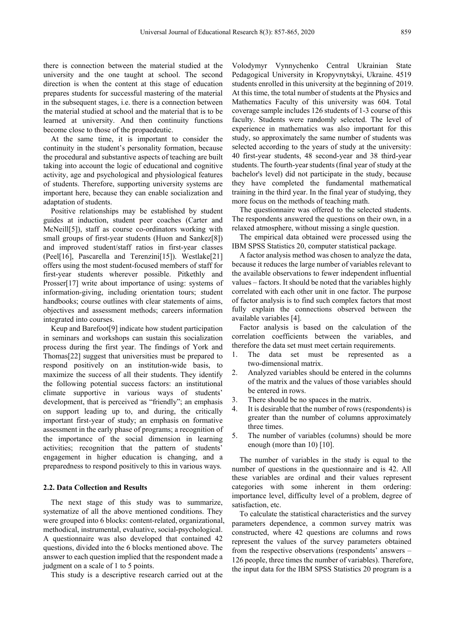there is connection between the material studied at the university and the one taught at school. The second direction is when the content at this stage of education prepares students for successful mastering of the material in the subsequent stages, i.e. there is a connection between the material studied at school and the material that is to be learned at university. And then continuity functions become close to those of the propaedeutic.

At the same time, it is important to consider the continuity in the student's personality formation, because the procedural and substantive aspects of teaching are built taking into account the logic of educational and cognitive activity, age and psychological and physiological features of students. Therefore, supporting university systems are important here, because they can enable socialization and adaptation of students.

Positive relationships may be established by student guides at induction, student peer coaches (Carter and McNeill[5]), staff as course co-ordinators working with small groups of first-year students (Huon and Sankez[8]) and improved student/staff ratios in first-year classes (Peel[16], Pascarella and Terenzini[15]). Westlake[21] offers using the most student-focused members of staff for first-year students wherever possible. Pitkethly and Prosser[17] write about importance of using: systems of information-giving, including orientation tours; student handbooks; course outlines with clear statements of aims, objectives and assessment methods; careers information integrated into courses.

Keup and Barefoot[9] indicate how student participation in seminars and workshops can sustain this socialization process during the first year. The findings of York and Thomas[22] suggest that universities must be prepared to respond positively on an institution-wide basis, to maximize the success of all their students. They identify the following potential success factors: an institutional climate supportive in various ways of students' development, that is perceived as "friendly"; an emphasis on support leading up to, and during, the critically important first-year of study; an emphasis on formative assessment in the early phase of programs; a recognition of the importance of the social dimension in learning activities; recognition that the pattern of students' engagement in higher education is changing, and a preparedness to respond positively to this in various ways.

#### **2.2. Data Collection and Results**

The next stage of this study was to summarize, systematize of all the above mentioned conditions. They were grouped into 6 blocks: content-related, organizational, methodical, instrumental, evaluative, social-psychological. A questionnaire was also developed that contained 42 questions, divided into the 6 blocks mentioned above. The answer to each question implied that the respondent made a judgment on a scale of 1 to 5 points.

This study is a descriptive research carried out at the

Volodymyr Vynnychenko Central Ukrainian State Pedagogical University in Kropyvnytskyi, Ukraine. 4519 students enrolled in this university at the beginning of 2019. At this time, the total number of students at the Physics and Mathematics Faculty of this university was 604. Total coverage sample includes 126 students of 1-3 course of this faculty. Students were randomly selected. The level of experience in mathematics was also important for this study, so approximately the same number of students was selected according to the years of study at the university: 40 first-year students, 48 second-year and 38 third-year students. The fourth-year students (final year of study at the bachelor's level) did not participate in the study, because they have completed the fundamental mathematical training in the third year. In the final year of studying, they more focus on the methods of teaching math.

The questionnaire was offered to the selected students. The respondents answered the questions on their own, in a relaxed atmosphere, without missing a single question.

The empirical data obtained were processed using the IBM SPSS Statistics 20, computer statistical package.

A factor analysis method was chosen to analyze the data, because it reduces the large number of variables relevant to the available observations to fewer independent influential values – factors. It should be noted that the variables highly correlated with each other unit in one factor. The purpose of factor analysis is to find such complex factors that most fully explain the connections observed between the available variables [4].

Factor analysis is based on the calculation of the correlation coefficients between the variables, and therefore the data set must meet certain requirements.

- 1. The data set must be represented as a two-dimensional matrix.
- 2. Analyzed variables should be entered in the columns of the matrix and the values of those variables should be entered in rows.
- 3. There should be no spaces in the matrix.
- 4. It is desirable that the number of rows (respondents) is greater than the number of columns approximately three times.
- 5. The number of variables (columns) should be more enough (more than 10) [10].

The number of variables in the study is equal to the number of questions in the questionnaire and is 42. All these variables are ordinal and their values represent categories with some inherent in them ordering: importance level, difficulty level of a problem, degree of satisfaction, etc.

To calculate the statistical characteristics and the survey parameters dependence, a common survey matrix was constructed, where 42 questions are columns and rows represent the values of the survey parameters obtained from the respective observations (respondents' answers – 126 people, three times the number of variables). Therefore, the input data for the IBM SPSS Statistics 20 program is a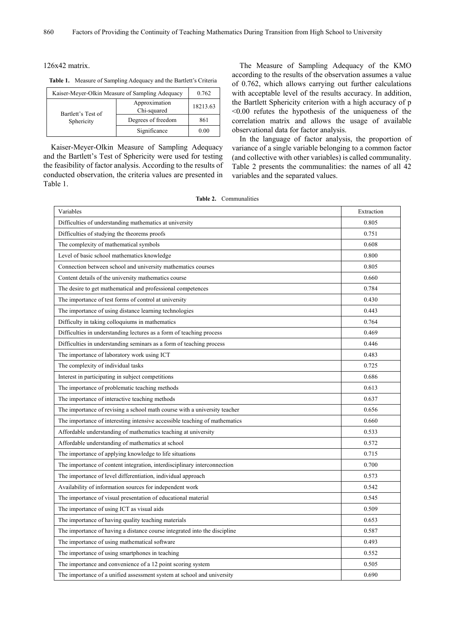126x42 matrix.

**Table 1.** Measure of Sampling Adequacy and the Bartlett's Criteria

|                    | Kaiser-Meyer-Olkin Measure of Sampling Adequacy | 0.762    |
|--------------------|-------------------------------------------------|----------|
| Bartlett's Test of | Approximation<br>Chi-squared                    | 18213.63 |
| Sphericity         | Degrees of freedom                              | 861      |
|                    | Significance                                    | 0.00     |

Kaiser-Meyer-Olkin Measure of Sampling Adequacy and the Bartlett's Test of Sphericity were used for testing the feasibility of factor analysis. According to the results of conducted observation, the criteria values are presented in Table 1.

The Measure of Sampling Adequacy of the KMO according to the results of the observation assumes a value of 0.762, which allows carrying out further calculations with acceptable level of the results accuracy. In addition, the Bartlett Sphericity criterion with a high accuracy of p <0.00 refutes the hypothesis of the uniqueness of the correlation matrix and allows the usage of available observational data for factor analysis.

In the language of factor analysis, the proportion of variance of a single variable belonging to a common factor (and collective with other variables) is called communality. Table 2 presents the communalities: the names of all 42 variables and the separated values.

| Table 2. | Communalities |  |
|----------|---------------|--|
|          |               |  |
|          |               |  |
|          |               |  |

| Variables                                                                  | Extraction |
|----------------------------------------------------------------------------|------------|
| Difficulties of understanding mathematics at university                    | 0.805      |
| Difficulties of studying the theorems proofs                               | 0.751      |
| The complexity of mathematical symbols                                     | 0.608      |
| Level of basic school mathematics knowledge                                | 0.800      |
| Connection between school and university mathematics courses               | 0.805      |
| Content details of the university mathematics course                       | 0.660      |
| The desire to get mathematical and professional competences                | 0.784      |
| The importance of test forms of control at university                      | 0.430      |
| The importance of using distance learning technologies                     | 0.443      |
| Difficulty in taking colloquiums in mathematics                            | 0.764      |
| Difficulties in understanding lectures as a form of teaching process       | 0.469      |
| Difficulties in understanding seminars as a form of teaching process       | 0.446      |
| The importance of laboratory work using ICT                                | 0.483      |
| The complexity of individual tasks                                         | 0.725      |
| Interest in participating in subject competitions                          | 0.686      |
| The importance of problematic teaching methods                             | 0.613      |
| The importance of interactive teaching methods                             | 0.637      |
| The importance of revising a school math course with a university teacher  | 0.656      |
| The importance of interesting intensive accessible teaching of mathematics | 0.660      |
| Affordable understanding of mathematics teaching at university             | 0.533      |
| Affordable understanding of mathematics at school                          | 0.572      |
| The importance of applying knowledge to life situations                    | 0.715      |
| The importance of content integration, interdisciplinary interconnection   | 0.700      |
| The importance of level differentiation, individual approach               | 0.573      |
| Availability of information sources for independent work                   | 0.542      |
| The importance of visual presentation of educational material              | 0.545      |
| The importance of using ICT as visual aids                                 | 0.509      |
| The importance of having quality teaching materials                        | 0.653      |
| The importance of having a distance course integrated into the discipline  | 0.587      |
| The importance of using mathematical software                              | 0.493      |
| The importance of using smartphones in teaching                            | 0.552      |
| The importance and convenience of a 12 point scoring system                | 0.505      |
| The importance of a unified assessment system at school and university     | 0.690      |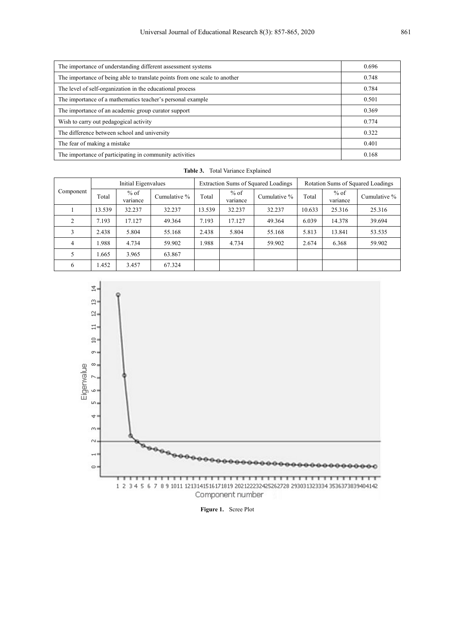| The importance of understanding different assessment systems               | 0.696 |
|----------------------------------------------------------------------------|-------|
| The importance of being able to translate points from one scale to another | 0.748 |
| The level of self-organization in the educational process                  | 0.784 |
| The importance of a mathematics teacher's personal example                 | 0.501 |
| The importance of an academic group curator support                        | 0.369 |
| Wish to carry out pedagogical activity                                     | 0.774 |
| The difference between school and university                               | 0.322 |
| The fear of making a mistake                                               | 0.401 |
| The importance of participating in community activities                    | 0.168 |

|                | Initial Eigenvalues |                    |              | Extraction Sums of Squared Loadings |                    |              | Rotation Sums of Squared Loadings |                    |              |
|----------------|---------------------|--------------------|--------------|-------------------------------------|--------------------|--------------|-----------------------------------|--------------------|--------------|
| Component      | Total               | $%$ of<br>variance | Cumulative % | Total                               | $%$ of<br>variance | Cumulative % | Total                             | $%$ of<br>variance | Cumulative % |
|                | 13.539              | 32.237             | 32.237       | 13.539                              | 32.237             | 32.237       | 10.633                            | 25.316             | 25.316       |
| $\mathfrak{D}$ | 7.193               | 17.127             | 49.364       | 7.193                               | 17.127             | 49.364       | 6.039                             | 14.378             | 39.694       |
| 3              | 2.438               | 5.804              | 55.168       | 2.438                               | 5.804              | 55.168       | 5.813                             | 13.841             | 53.535       |
| $\overline{4}$ | .988                | 4.734              | 59.902       | 1.988                               | 4.734              | 59.902       | 2.674                             | 6.368              | 59.902       |
|                | .665                | 3.965              | 63.867       |                                     |                    |              |                                   |                    |              |
| 6              | .452                | 3.457              | 67.324       |                                     |                    |              |                                   |                    |              |

**Table 3.** Total Variance Explained



**Figure 1.** Scree Plot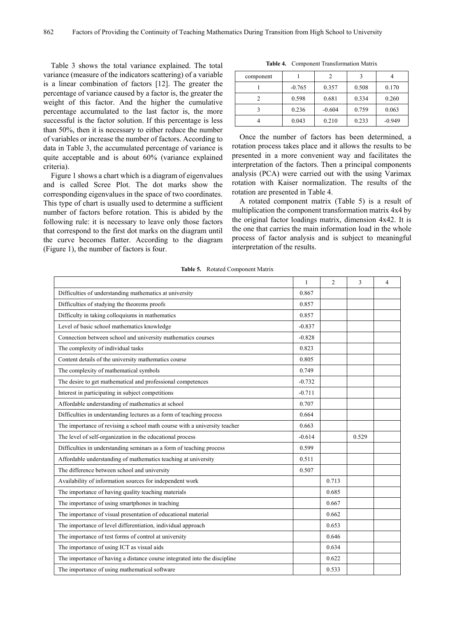Table 3 shows the total variance explained. The total variance (measure of the indicators scattering) of a variable is a linear combination of factors [12]. The greater the percentage of variance caused by a factor is, the greater the weight of this factor. And the higher the cumulative percentage accumulated to the last factor is, the more successful is the factor solution. If this percentage is less than 50%, then it is necessary to either reduce the number of variables or increase the number of factors. According to data in Table 3, the accumulated percentage of variance is quite acceptable and is about 60% (variance explained criteria).

Figure 1 shows a chart which is a diagram of eigenvalues and is called Scree Plot. The dot marks show the corresponding eigenvalues in the space of two coordinates. This type of chart is usually used to determine a sufficient number of factors before rotation. This is abided by the following rule: it is necessary to leave only those factors that correspond to the first dot marks on the diagram until the curve becomes flatter. According to the diagram (Figure 1), the number of factors is four.

| component |          |          | 3     |          |
|-----------|----------|----------|-------|----------|
|           | $-0.765$ | 0.357    | 0.508 | 0.170    |
|           | 0.598    | 0.681    | 0.334 | 0.260    |
|           | 0.236    | $-0.604$ | 0.759 | 0.063    |
|           | 0.043    | 0.210    | 0.233 | $-0.949$ |

**Table 4.** Component Transformation Matrix

Once the number of factors has been determined, a rotation process takes place and it allows the results to be presented in a more convenient way and facilitates the interpretation of the factors. Then a principal components analysis (PCA) were carried out with the using Varimax rotation with Kaiser normalization. The results of the rotation are presented in Table 4.

A rotated component matrix (Table 5) is a result of multiplication the component transformation matrix 4x4 by the original factor loadings matrix, dimension 4x42. It is the one that carries the main information load in the whole process of factor analysis and is subject to meaningful interpretation of the results.

| Table 5. |  | Rotated Component Matrix |  |
|----------|--|--------------------------|--|
|----------|--|--------------------------|--|

|                                                                           | 1        | $\overline{2}$ | 3     | 4 |
|---------------------------------------------------------------------------|----------|----------------|-------|---|
| Difficulties of understanding mathematics at university                   | 0.867    |                |       |   |
| Difficulties of studying the theorems proofs                              | 0.857    |                |       |   |
| Difficulty in taking colloquiums in mathematics                           | 0.857    |                |       |   |
| Level of basic school mathematics knowledge                               | $-0.837$ |                |       |   |
| Connection between school and university mathematics courses              | $-0.828$ |                |       |   |
| The complexity of individual tasks                                        | 0.823    |                |       |   |
| Content details of the university mathematics course                      | 0.805    |                |       |   |
| The complexity of mathematical symbols                                    | 0.749    |                |       |   |
| The desire to get mathematical and professional competences               | $-0.732$ |                |       |   |
| Interest in participating in subject competitions                         | $-0.711$ |                |       |   |
| Affordable understanding of mathematics at school                         | 0.707    |                |       |   |
| Difficulties in understanding lectures as a form of teaching process      | 0.664    |                |       |   |
| The importance of revising a school math course with a university teacher | 0.663    |                |       |   |
| The level of self-organization in the educational process                 | $-0.614$ |                | 0.529 |   |
| Difficulties in understanding seminars as a form of teaching process      | 0.599    |                |       |   |
| Affordable understanding of mathematics teaching at university            | 0.511    |                |       |   |
| The difference between school and university                              | 0.507    |                |       |   |
| Availability of information sources for independent work                  |          | 0.713          |       |   |
| The importance of having quality teaching materials                       |          | 0.685          |       |   |
| The importance of using smartphones in teaching                           |          | 0.667          |       |   |
| The importance of visual presentation of educational material             |          | 0.662          |       |   |
| The importance of level differentiation, individual approach              |          | 0.653          |       |   |
| The importance of test forms of control at university                     |          | 0.646          |       |   |
| The importance of using ICT as visual aids                                |          | 0.634          |       |   |
| The importance of having a distance course integrated into the discipline |          | 0.622          |       |   |
| The importance of using mathematical software                             |          | 0.533          |       |   |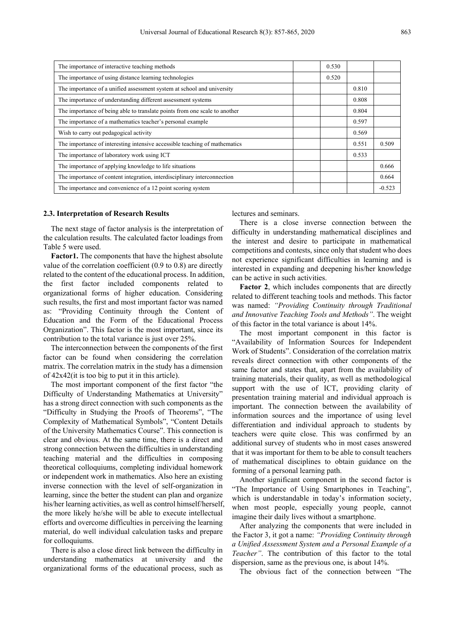| The importance of interactive teaching methods                             | 0.530 |       |          |
|----------------------------------------------------------------------------|-------|-------|----------|
| The importance of using distance learning technologies                     | 0.520 |       |          |
| The importance of a unified assessment system at school and university     |       | 0.810 |          |
| The importance of understanding different assessment systems               |       | 0.808 |          |
| The importance of being able to translate points from one scale to another |       | 0.804 |          |
| The importance of a mathematics teacher's personal example                 |       | 0.597 |          |
| Wish to carry out pedagogical activity                                     |       | 0.569 |          |
| The importance of interesting intensive accessible teaching of mathematics |       | 0.551 | 0.509    |
| The importance of laboratory work using ICT                                |       | 0.533 |          |
| The importance of applying knowledge to life situations                    |       |       | 0.666    |
| The importance of content integration, interdisciplinary interconnection   |       |       | 0.664    |
| The importance and convenience of a 12 point scoring system                |       |       | $-0.523$ |

#### **2.3. Interpretation of Research Results**

The next stage of factor analysis is the interpretation of the calculation results. The calculated factor loadings from Table 5 were used.

**Factor1.** The components that have the highest absolute value of the correlation coefficient (0.9 to 0.8) are directly related to the content of the educational process. In addition, the first factor included components related to organizational forms of higher education. Considering such results, the first and most important factor was named as: "Providing Continuity through the Content of Education and the Form of the Educational Process Organization". This factor is the most important, since its contribution to the total variance is just over 25%.

The interconnection between the components of the first factor can be found when considering the correlation matrix. The correlation matrix in the study has a dimension of 42x42(it is too big to put it in this article).

The most important component of the first factor "the Difficulty of Understanding Mathematics at University" has a strong direct connection with such components as the "Difficulty in Studying the Proofs of Theorems", "The Complexity of Mathematical Symbols", "Content Details of the University Mathematics Course". This connection is clear and obvious. At the same time, there is a direct and strong connection between the difficulties in understanding teaching material and the difficulties in composing theoretical colloquiums, completing individual homework or independent work in mathematics. Also here an existing inverse connection with the level of self-organization in learning, since the better the student can plan and organize his/her learning activities, as well as control himself/herself, the more likely he/she will be able to execute intellectual efforts and overcome difficulties in perceiving the learning material, do well individual calculation tasks and prepare for colloquiums.

There is also a close direct link between the difficulty in understanding mathematics at university and the organizational forms of the educational process, such as lectures and seminars.

There is a close inverse connection between the difficulty in understanding mathematical disciplines and the interest and desire to participate in mathematical competitions and contests, since only that student who does not experience significant difficulties in learning and is interested in expanding and deepening his/her knowledge can be active in such activities.

**Factor 2**, which includes components that are directly related to different teaching tools and methods. This factor was named: *"Providing Continuity through Traditional and Innovative Teaching Tools and Methods"*. The weight of this factor in the total variance is about 14%.

The most important component in this factor is "Availability of Information Sources for Independent Work of Students". Consideration of the correlation matrix reveals direct connection with other components of the same factor and states that, apart from the availability of training materials, their quality, as well as methodological support with the use of ICT, providing clarity of presentation training material and individual approach is important. The connection between the availability of information sources and the importance of using level differentiation and individual approach to students by teachers were quite close. This was confirmed by an additional survey of students who in most cases answered that it was important for them to be able to consult teachers of mathematical disciplines to obtain guidance on the forming of a personal learning path.

Another significant component in the second factor is "The Importance of Using Smartphones in Teaching", which is understandable in today's information society, when most people, especially young people, cannot imagine their daily lives without a smartphone.

After analyzing the components that were included in the Factor 3, it got a name: *"Providing Continuity through a Unified Assessment System and a Personal Example of a Teacher"*. The contribution of this factor to the total dispersion, same as the previous one, is about 14%.

The obvious fact of the connection between "The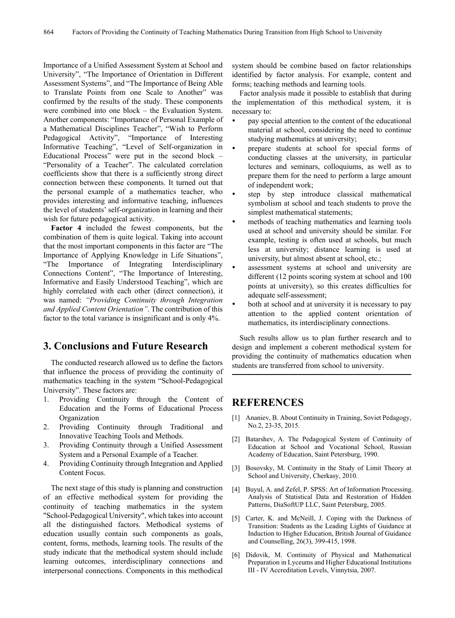Importance of a Unified Assessment System at School and University", "The Importance of Orientation in Different Assessment Systems", and "The Importance of Being Able to Translate Points from one Scale to Another" was confirmed by the results of the study. These components were combined into one block – the Evaluation System. Another components: "Importance of Personal Example of a Mathematical Disciplines Teacher", "Wish to Perform Pedagogical Activity", "Importance of Interesting Informative Teaching", "Level of Self-organization in Educational Process" were put in the second block – "Personality of a Teacher". The calculated correlation coefficients show that there is a sufficiently strong direct connection between these components. It turned out that the personal example of a mathematics teacher, who provides interesting and informative teaching, influences the level of students' self-organization in learning and their wish for future pedagogical activity.

**Factor 4** included the fewest components, but the combination of them is quite logical. Taking into account that the most important components in this factor are "The Importance of Applying Knowledge in Life Situations", "The Importance of Integrating Interdisciplinary Connections Content", "The Importance of Interesting, Informative and Easily Understood Teaching", which are highly correlated with each other (direct connection), it was named: *"Providing Continuity through Integration and Applied Content Orientation"*. The contribution of this factor to the total variance is insignificant and is only 4%.

## **3. Conclusions and Future Research**

The conducted research allowed us to define the factors that influence the process of providing the continuity of mathematics teaching in the system "School-Pedagogical University". These factors are:

- 1. Providing Continuity through the Content of Education and the Forms of Educational Process Organization
- 2. Providing Continuity through Traditional and Innovative Teaching Tools and Methods.
- 3. Providing Continuity through a Unified Assessment System and a Personal Example of a Teacher.
- 4. Providing Continuity through Integration and Applied Content Focus.

The next stage of this study is planning and construction of an effective methodical system for providing the continuity of teaching mathematics in the system "School-Pedagogical University", which takes into account all the distinguished factors. Methodical systems of education usually contain such components as goals, content, forms, methods, learning tools. The results of the study indicate that the methodical system should include learning outcomes, interdisciplinary connections and interpersonal connections. Components in this methodical

system should be combine based on factor relationships identified by factor analysis. For example, content and forms; teaching methods and learning tools.

Factor analysis made it possible to establish that during the implementation of this methodical system, it is necessary to:

- pay special attention to the content of the educational material at school, considering the need to continue studying mathematics at university;
- prepare students at school for special forms of conducting classes at the university, in particular lectures and seminars, colloquiums, as well as to prepare them for the need to perform a large amount of independent work;
- step by step introduce classical mathematical symbolism at school and teach students to prove the simplest mathematical statements;
- methods of teaching mathematics and learning tools used at school and university should be similar. For example, testing is often used at schools, but much less at university; distance learning is used at university, but almost absent at school, etc.;
- assessment systems at school and university are different (12 points scoring system at school and 100 points at university), so this creates difficulties for adequate self-assessment;
- both at school and at university it is necessary to pay attention to the applied content orientation of mathematics, its interdisciplinary connections.

Such results allow us to plan further research and to design and implement a coherent methodical system for providing the continuity of mathematics education when students are transferred from school to university.

## **REFERENCES**

- [1] Ananiev, B. About Continuity in Training, Soviet Pedagogy, No.2, 23-35, 2015.
- [2] Batarshev, A. The Pedagogical System of Continuity of Education at School and Vocational School, Russian Academy of Education, Saint Petersburg, 1990.
- [3] Bosovsky, M. Continuity in the Study of Limit Theory at School and University, Cherkasy, 2010.
- [4] Buyul, A. and Zefel, P. SPSS: Art of Information Processing. Analysis of Statistical Data and Restoration of Hidden Patterns, DiaSoftUP LLC, Saint Petersburg, 2005.
- [5] Carter, K. and McNeill, J. Coping with the Darkness of Transition: Students as the Leading Lights of Guidance at Induction to Higher Education, British Journal of Guidance and Counselling, 26(3), 399-415, 1998.
- [6] Didovik, M. Continuity of Physical and Mathematical Preparation in Lyceums and Higher Educational Institutions III - IV Accreditation Levels, Vinnytsia, 2007.